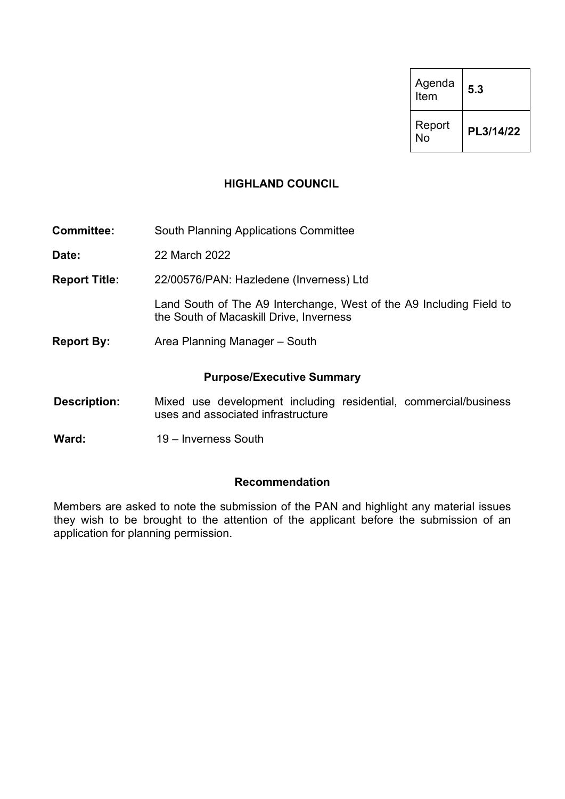| Agenda<br>Item | 5.3       |
|----------------|-----------|
| Report<br>N٥   | PL3/14/22 |

#### **HIGHLAND COUNCIL**

**Committee:** South Planning Applications Committee

**Date:** 22 March 2022

**Report Title:** 22/00576/PAN: Hazledene (Inverness) Ltd

Land South of The A9 Interchange, West of the A9 Including Field to the South of Macaskill Drive, Inverness

**Report By:** Area Planning Manager – South

#### **Purpose/Executive Summary**

- **Description:** Mixed use development including residential, commercial/business uses and associated infrastructure
- Ward: 19 Inverness South

#### **Recommendation**

Members are asked to note the submission of the PAN and highlight any material issues they wish to be brought to the attention of the applicant before the submission of an application for planning permission.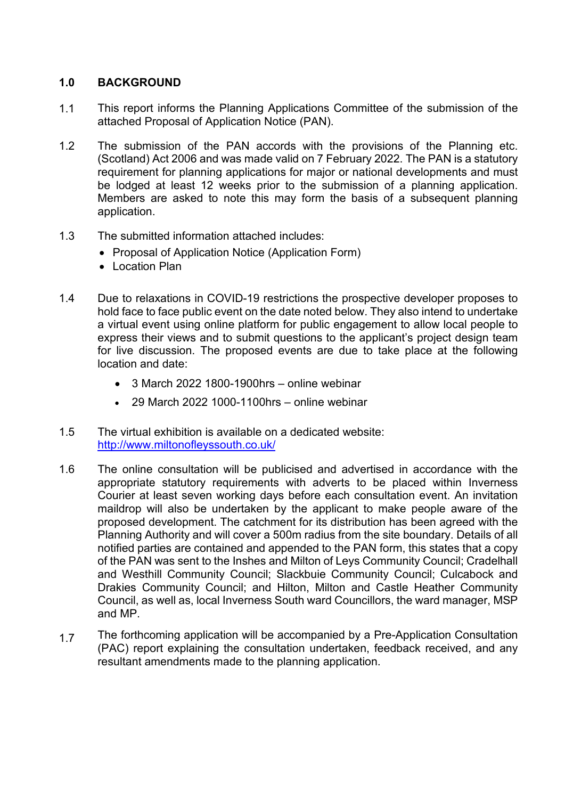# **1.0 BACKGROUND**

- 1.1 This report informs the Planning Applications Committee of the submission of the attached Proposal of Application Notice (PAN).
- 1.2 The submission of the PAN accords with the provisions of the Planning etc. (Scotland) Act 2006 and was made valid on 7 February 2022. The PAN is a statutory requirement for planning applications for major or national developments and must be lodged at least 12 weeks prior to the submission of a planning application. Members are asked to note this may form the basis of a subsequent planning application.
- 1.3 The submitted information attached includes:
	- Proposal of Application Notice (Application Form)
	- Location Plan
- 1.4 Due to relaxations in COVID-19 restrictions the prospective developer proposes to hold face to face public event on the date noted below. They also intend to undertake a virtual event using online platform for public engagement to allow local people to express their views and to submit questions to the applicant's project design team for live discussion. The proposed events are due to take place at the following location and date:
	- 3 March 2022 1800-1900hrs online webinar
	- 29 March 2022 1000-1100hrs online webinar
- 1.5 The virtual exhibition is available on a dedicated website: http://www.miltonofleyssouth.co.uk/
- 1.6 The online consultation will be publicised and advertised in accordance with the appropriate statutory requirements with adverts to be placed within Inverness Courier at least seven working days before each consultation event. An invitation maildrop will also be undertaken by the applicant to make people aware of the proposed development. The catchment for its distribution has been agreed with the Planning Authority and will cover a 500m radius from the site boundary. Details of all notified parties are contained and appended to the PAN form, this states that a copy of the PAN was sent to the Inshes and Milton of Leys Community Council; Cradelhall and Westhill Community Council; Slackbuie Community Council; Culcabock and Drakies Community Council; and Hilton, Milton and Castle Heather Community Council, as well as, local Inverness South ward Councillors, the ward manager, MSP and MP.
- 1.7 The forthcoming application will be accompanied by a Pre-Application Consultation (PAC) report explaining the consultation undertaken, feedback received, and any resultant amendments made to the planning application.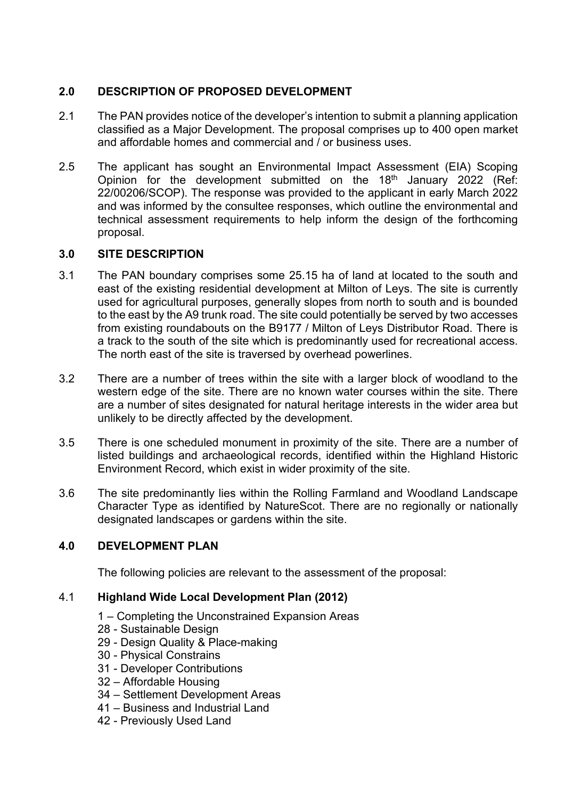# **2.0 DESCRIPTION OF PROPOSED DEVELOPMENT**

- 2.1 The PAN provides notice of the developer's intention to submit a planning application classified as a Major Development. The proposal comprises up to 400 open market and affordable homes and commercial and / or business uses.
- 2.5 The applicant has sought an Environmental Impact Assessment (EIA) Scoping Opinion for the development submitted on the 18<sup>th</sup> January 2022 (Ref: 22/00206/SCOP). The response was provided to the applicant in early March 2022 and was informed by the consultee responses, which outline the environmental and technical assessment requirements to help inform the design of the forthcoming proposal.

# **3.0 SITE DESCRIPTION**

- 3.1 The PAN boundary comprises some 25.15 ha of land at located to the south and east of the existing residential development at Milton of Leys. The site is currently used for agricultural purposes, generally slopes from north to south and is bounded to the east by the A9 trunk road. The site could potentially be served by two accesses from existing roundabouts on the B9177 / Milton of Leys Distributor Road. There is a track to the south of the site which is predominantly used for recreational access. The north east of the site is traversed by overhead powerlines.
- 3.2 There are a number of trees within the site with a larger block of woodland to the western edge of the site. There are no known water courses within the site. There are a number of sites designated for natural heritage interests in the wider area but unlikely to be directly affected by the development.
- 3.5 There is one scheduled monument in proximity of the site. There are a number of listed buildings and archaeological records, identified within the Highland Historic Environment Record, which exist in wider proximity of the site.
- 3.6 The site predominantly lies within the Rolling Farmland and Woodland Landscape Character Type as identified by NatureScot. There are no regionally or nationally designated landscapes or gardens within the site.

# **4.0 DEVELOPMENT PLAN**

The following policies are relevant to the assessment of the proposal:

# 4.1 **Highland Wide Local Development Plan (2012)**

- 1 Completing the Unconstrained Expansion Areas
- 28 Sustainable Design
- 29 Design Quality & Place-making
- 30 Physical Constrains
- 31 Developer Contributions
- 32 Affordable Housing
- 34 Settlement Development Areas
- 41 Business and Industrial Land
- 42 Previously Used Land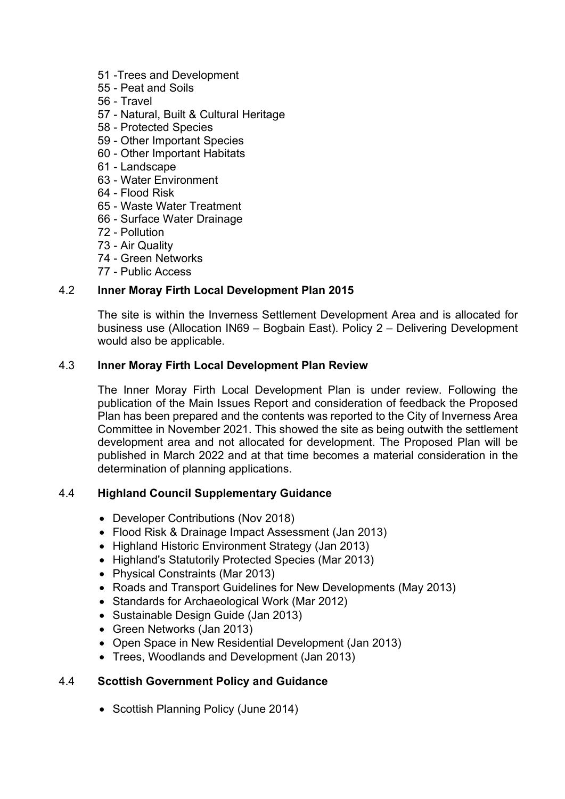- 51 -Trees and Development
- 55 Peat and Soils
- 56 Travel
- 57 Natural, Built & Cultural Heritage
- 58 Protected Species
- 59 Other Important Species
- 60 Other Important Habitats
- 61 Landscape
- 63 Water Environment
- 64 Flood Risk
- 65 Waste Water Treatment
- 66 Surface Water Drainage
- 72 Pollution
- 73 Air Quality
- 74 Green Networks
- 77 Public Access

#### 4.2 **Inner Moray Firth Local Development Plan 2015**

The site is within the Inverness Settlement Development Area and is allocated for business use (Allocation IN69 – Bogbain East). Policy 2 – Delivering Development would also be applicable.

#### 4.3 **Inner Moray Firth Local Development Plan Review**

The Inner Moray Firth Local Development Plan is under review. Following the publication of the Main Issues Report and consideration of feedback the Proposed Plan has been prepared and the contents was reported to the City of Inverness Area Committee in November 2021. This showed the site as being outwith the settlement development area and not allocated for development. The Proposed Plan will be published in March 2022 and at that time becomes a material consideration in the determination of planning applications.

#### 4.4 **Highland Council Supplementary Guidance**

- Developer Contributions (Nov 2018)
- Flood Risk & Drainage Impact Assessment (Jan 2013)
- Highland Historic Environment Strategy (Jan 2013)
- Highland's Statutorily Protected Species (Mar 2013)
- Physical Constraints (Mar 2013)
- Roads and Transport Guidelines for New Developments (May 2013)
- Standards for Archaeological Work (Mar 2012)
- Sustainable Design Guide (Jan 2013)
- Green Networks (Jan 2013)
- Open Space in New Residential Development (Jan 2013)
- Trees, Woodlands and Development (Jan 2013)

# 4.4 **Scottish Government Policy and Guidance**

• Scottish Planning Policy (June 2014)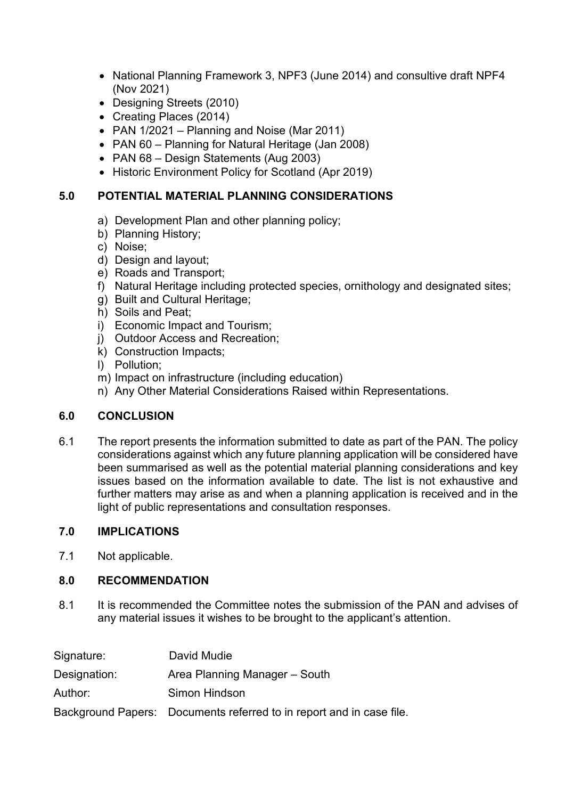- National Planning Framework 3, NPF3 (June 2014) and consultive draft NPF4 (Nov 2021)
- Designing Streets (2010)
- Creating Places (2014)
- PAN 1/2021 Planning and Noise (Mar 2011)
- PAN 60 Planning for Natural Heritage (Jan 2008)
- PAN 68 Design Statements (Aug 2003)
- Historic Environment Policy for Scotland (Apr 2019)

# **5.0 POTENTIAL MATERIAL PLANNING CONSIDERATIONS**

- a) Development Plan and other planning policy;
- b) Planning History;
- c) Noise;
- d) Design and layout;
- e) Roads and Transport;
- f) Natural Heritage including protected species, ornithology and designated sites;
- g) Built and Cultural Heritage;
- h) Soils and Peat;
- i) Economic Impact and Tourism;
- j) Outdoor Access and Recreation;
- k) Construction Impacts;
- l) Pollution;
- m) Impact on infrastructure (including education)
- n) Any Other Material Considerations Raised within Representations.

# **6.0 CONCLUSION**

6.1 The report presents the information submitted to date as part of the PAN. The policy considerations against which any future planning application will be considered have been summarised as well as the potential material planning considerations and key issues based on the information available to date. The list is not exhaustive and further matters may arise as and when a planning application is received and in the light of public representations and consultation responses.

# **7.0 IMPLICATIONS**

7.1 Not applicable.

# **8.0 RECOMMENDATION**

8.1 It is recommended the Committee notes the submission of the PAN and advises of any material issues it wishes to be brought to the applicant's attention.

| Signature:   | David Mudie                                                          |
|--------------|----------------------------------------------------------------------|
| Designation: | Area Planning Manager – South                                        |
| Author:      | Simon Hindson                                                        |
|              | Background Papers: Documents referred to in report and in case file. |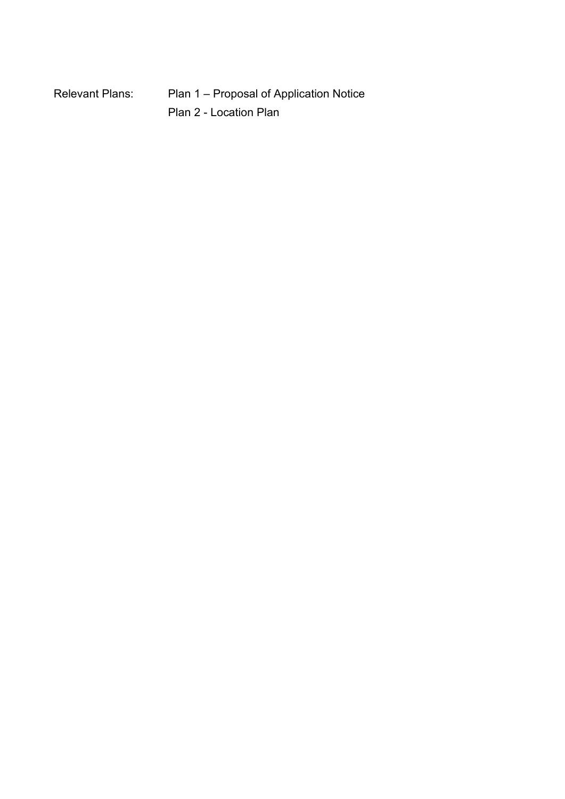| Relevant Plans: | Plan 1 – Proposal of Application Notice |
|-----------------|-----------------------------------------|
|                 | Plan 2 - Location Plan                  |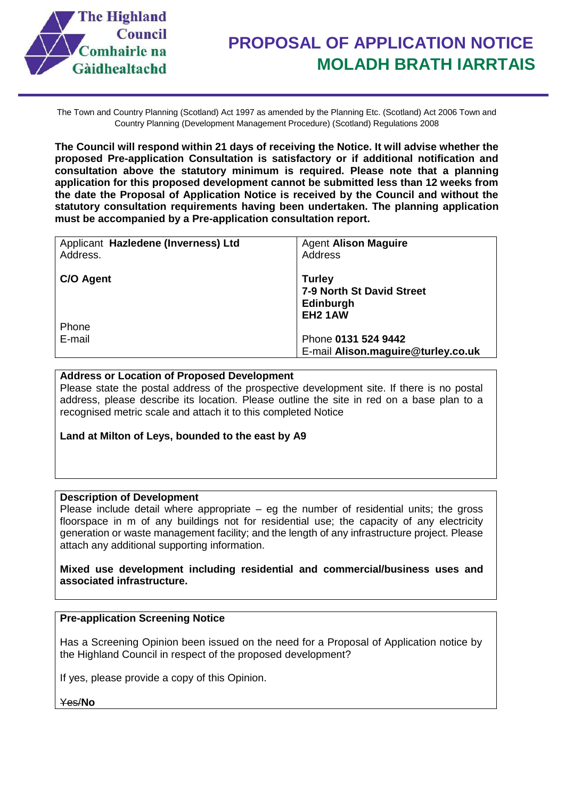

The Town and Country Planning (Scotland) Act 1997 as amended by the Planning Etc. (Scotland) Act 2006 Town and Country Planning (Development Management Procedure) (Scotland) Regulations 2008

**The Council will respond within 21 days of receiving the Notice. It will advise whether the proposed Pre-application Consultation is satisfactory or if additional notification and consultation above the statutory minimum is required. Please note that a planning application for this proposed development cannot be submitted less than 12 weeks from the date the Proposal of Application Notice is received by the Council and without the statutory consultation requirements having been undertaken. The planning application must be accompanied by a Pre-application consultation report.** 

| Applicant Hazledene (Inverness) Ltd | <b>Agent Alison Maguire</b>                                               |
|-------------------------------------|---------------------------------------------------------------------------|
| Address.                            | Address                                                                   |
| C/O Agent                           | <b>Turley</b><br>7-9 North St David Street<br>Edinburgh<br><b>EH2 1AW</b> |
| <b>Phone</b>                        |                                                                           |
| E-mail                              | Phone 0131 524 9442                                                       |
|                                     | E-mail Alison.maguire@turley.co.uk                                        |

#### **Address or Location of Proposed Development**

Please state the postal address of the prospective development site. If there is no postal address, please describe its location. Please outline the site in red on a base plan to a recognised metric scale and attach it to this completed Notice

#### **Land at Milton of Leys, bounded to the east by A9**

#### **Description of Development**

Please include detail where appropriate  $-$  eg the number of residential units; the gross floorspace in m of any buildings not for residential use; the capacity of any electricity generation or waste management facility; and the length of any infrastructure project. Please attach any additional supporting information.

**Mixed use development including residential and commercial/business uses and associated infrastructure.**

#### **Pre-application Screening Notice**

Has a Screening Opinion been issued on the need for a Proposal of Application notice by the Highland Council in respect of the proposed development?

If yes, please provide a copy of this Opinion.

Yes/**No**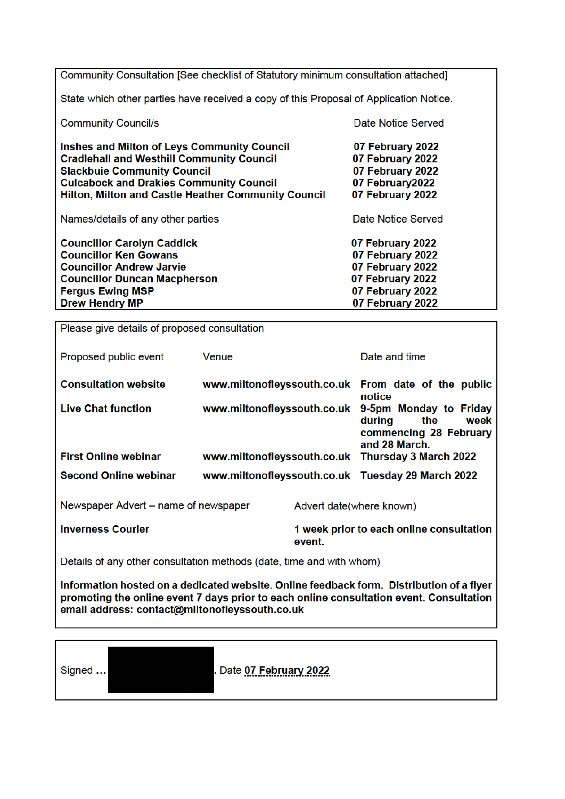Community Consultation [See checklist of Statutory minimum consultation attached] State which other parties have received a copy of this Proposal of Application Notice. **Community Council/s** Date Notice Served Inshes and Milton of Leys Community Council 07 February 2022 **Cradlehall and Westhill Community Council** 07 February 2022 **Slackbuie Community Council** 07 February 2022 **Culcabock and Drakies Community Council** 07 February 2022 **Hilton, Milton and Castle Heather Community Council** 07 February 2022 Names/details of any other parties Date Notice Served **Councillor Carolyn Caddick** 07 February 2022 **Councillor Ken Gowans** 07 February 2022 **Councillor Andrew Jarvie** 07 February 2022 **Councillor Duncan Macpherson** 07 February 2022 **Feraus Ewing MSP** 07 February 2022 **Drew Hendry MP** 07 February 2022

Please give details of proposed consultation

| Proposed public event                | Venue                       |                          | Date and time                                                                              |
|--------------------------------------|-----------------------------|--------------------------|--------------------------------------------------------------------------------------------|
| <b>Consultation website</b>          |                             |                          | www.miltonofleyssouth.co.uk From date of the public<br>notice                              |
| <b>Live Chat function</b>            | www.miltonofleyssouth.co.uk |                          | 9-5pm Monday to Friday<br>during<br>the<br>week<br>commencing 28 February<br>and 28 March. |
| <b>First Online webinar</b>          |                             |                          | www.miltonofleyssouth.co.uk Thursday 3 March 2022                                          |
| <b>Second Online webinar</b>         |                             |                          | www.miltonofleyssouth.co.uk Tuesday 29 March 2022                                          |
| Newspaper Advert – name of newspaper |                             | Advert date(where known) |                                                                                            |
| <b>Inverness Courier</b>             |                             | event.                   | 1 week prior to each online consultation                                                   |

Details of any other consultation methods (date, time and with whom)

Information hosted on a dedicated website. Online feedback form. Distribution of a flyer promoting the online event 7 days prior to each online consultation event. Consultation email address: contact@miltonoflevssouth.co.uk

Signed ...

Date 07 February 2022